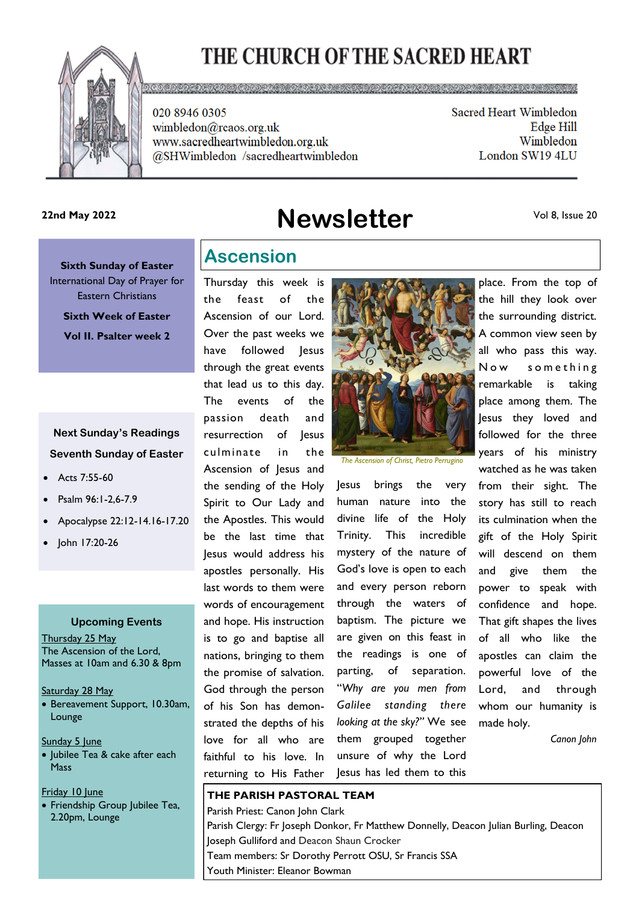# THE CHURCH OF THE SACRED HEART



020 8946 0305 wimbledon@rcaos.org.uk www.sacredheartwimbledon.org.uk @SHWimbledon /sacredheartwimbledon Sacred Heart Wimbledon Edge Hill Wimbledon London SW19 4LU

**Newsletter 22nd May 2022**

Vol 8, Issue 20

**Sixth Sunday of Easter**  International Day of Prayer for Eastern Christians **Sixth Week of Easter Vol II. Psalter week 2**

### **Next Sunday's Readings Seventh Sunday of Easter**

- Acts 7:55-60
- Psalm 96:1-2,6-7.9
- Apocalypse 22:12-14.16-17.20
- John 17:20-26

### **Upcoming Events**

Thursday 25 May The Ascension of the Lord, Masses at 10am and 6.30 & 8pm

Saturday 28 May

• Bereavement Support, 10.30am, Lounge

Sunday 5 June

- Jubilee Tea & cake after each **Mass**
- Friday 10 June
- Friendship Group Jubilee Tea, 2.20pm, Lounge

## **Ascension**

Thursday this week is the feast of the Ascension of our Lord. Over the past weeks we have followed lesus through the great events that lead us to this day. The events of the passion death and resurrection of Jesus culminate in the Ascension of Jesus and the sending of the Holy Spirit to Our Lady and the Apostles. This would be the last time that Jesus would address his apostles personally. His last words to them were words of encouragement and hope. His instruction is to go and baptise all nations, bringing to them the promise of salvation. God through the person of his Son has demonstrated the depths of his love for all who are faithful to his love. In returning to His Father



*The Ascension of Christ, Pietro Perrugino* 

Jesus brings the very human nature into the divine life of the Holy Trinity. This incredible mystery of the nature of God's love is open to each and every person reborn through the waters of baptism. The picture we are given on this feast in the readings is one of parting, of separation. "*Why are you men from Galilee standing there looking at the sky?"* We see them grouped together unsure of why the Lord Jesus has led them to this

place. From the top of the hill they look over the surrounding district. A common view seen by all who pass this way. Now something remarkable is taking place among them. The Jesus they loved and followed for the three years of his ministry watched as he was taken from their sight. The story has still to reach its culmination when the gift of the Holy Spirit will descend on them and give them the power to speak with confidence and hope. That gift shapes the lives of all who like the apostles can claim the powerful love of the Lord, and through whom our humanity is made holy.

*Canon John*

#### **THE PARISH PASTORAL TEAM**

Parish Priest: Canon John Clark Parish Clergy: Fr Joseph Donkor, Fr Matthew Donnelly, Deacon Julian Burling, Deacon Joseph Gulliford and Deacon Shaun Crocker Team members: Sr Dorothy Perrott OSU, Sr Francis SSA Youth Minister: Eleanor Bowman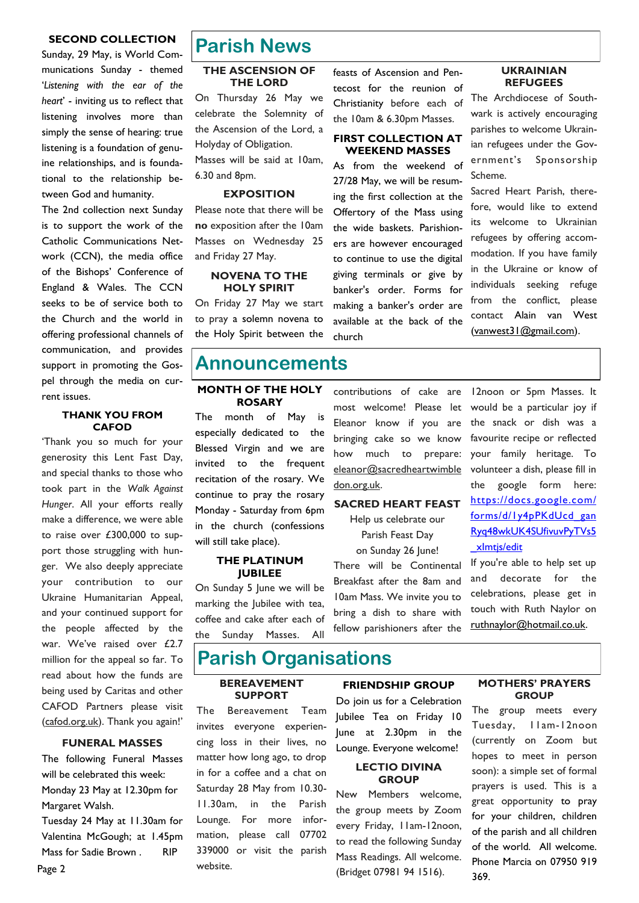#### **SECOND COLLECTION**

Sunday, 29 May, is World Communications Sunday - themed '*Listening with the ear of the heart*' - inviting us to reflect that listening involves more than simply the sense of hearing: true listening is a foundation of genuine relationships, and is foundational to the relationship between God and humanity.

The 2nd collection next Sunday is to support the work of the Catholic Communications Network (CCN), the media office of the Bishops' Conference of England & Wales. The CCN seeks to be of service both to the Church and the world in offering professional channels of communication, and provides support in promoting the Gospel through the media on current issues.

#### **THANK YOU FROM CAFOD**

'Thank you so much for your generosity this Lent Fast Day, and special thanks to those who took part in the *Walk Against Hunger*. All your efforts really make a difference, we were able to raise over £300,000 to support those struggling with hunger. We also deeply appreciate your contribution to our Ukraine Humanitarian Appeal, and your continued support for the people affected by the war. We've raised over £2.7 million for the appeal so far. To read about how the funds are being used by Caritas and other CAFOD Partners please visit (cafod.org.uk). Thank you again!'

#### **FUNERAL MASSES**

The following Funeral Masses will be celebrated this week: Monday 23 May at 12.30pm for Margaret Walsh.

Tuesday 24 May at 11.30am for Valentina McGough; at 1.45pm Mass for Sadie Brown . RIP

### **Parish News**

#### **THE ASCENSION OF THE LORD**

On Thursday 26 May we celebrate the Solemnity of the Ascension of the Lord, a Holyday of Obligation. Masses will be said at 10am, 6.30 and 8pm.

#### **EXPOSITION**

Please note that there will be **no** exposition after the 10am Masses on Wednesday 25 and Friday 27 May.

#### **NOVENA TO THE HOLY SPIRIT**

On Friday 27 May we start to pray a solemn novena to the Holy Spirit between the

### **Announcements**

#### **MONTH OF THE HOLY ROSARY**

The month of May is especially dedicated to the Blessed Virgin and we are invited to the frequent recitation of the rosary. We continue to pray the rosary Monday - Saturday from 6pm in the church (confessions will still take place).

#### **THE PLATINUM JUBILEE**

On Sunday 5 June we will be marking the Jubilee with tea, coffee and cake after each of the Sunday Masses. All

feasts of Ascension and Pentecost for the reunion of Christianity before each of the 10am & 6.30pm Masses.

#### **FIRST COLLECTION AT WEEKEND MASSES**

As from the weekend of 27/28 May, we will be resuming the first collection at the Offertory of the Mass using the wide baskets. Parishioners are however encouraged to continue to use the digital giving terminals or give by banker's order. Forms for making a banker's order are available at the back of the church

#### **UKRAINIAN REFUGEES**

The Archdiocese of Southwark is actively encouraging parishes to welcome Ukrainian refugees under the Government's Sponsorship Scheme.

Sacred Heart Parish, therefore, would like to extend its welcome to Ukrainian refugees by offering accommodation. If you have family in the Ukraine or know of individuals seeking refuge from the conflict, please contact Alain van West [\(vanwest31@gmail.com\).](mailto:vanwest31@gmail.com)

contributions of cake are most welcome! Please let Eleanor know if you are bringing cake so we know how much to prepare: eleanor@sacredheartwimble don.org.uk.

#### **SACRED HEART FEAST**

Help us celebrate our Parish Feast Day

on Sunday 26 June! There will be Continental Breakfast after the 8am and 10am Mass. We invite you to bring a dish to share with fellow parishioners after the

12noon or 5pm Masses. It would be a particular joy if the snack or dish was a favourite recipe or reflected your family heritage. To volunteer a dish, please fill in the google form here: [https://docs.google.com/](https://docs.google.com/forms/d/1y4pPKdUcd_ganRyq48wkUK4SUfivuvPyTVs5_xImtjs/edit) [forms/d/1y4pPKdUcd\\_gan](https://docs.google.com/forms/d/1y4pPKdUcd_ganRyq48wkUK4SUfivuvPyTVs5_xImtjs/edit)  [Ryq48wkUK4SUfivuvPyTVs5](https://docs.google.com/forms/d/1y4pPKdUcd_ganRyq48wkUK4SUfivuvPyTVs5_xImtjs/edit) [\\_xImtjs/edit](https://docs.google.com/forms/d/1y4pPKdUcd_ganRyq48wkUK4SUfivuvPyTVs5_xImtjs/edit)

If you're able to help set up and decorate for the celebrations, please get in touch with Ruth Naylor on [ruthnaylor@hotmail.co.uk.](mailto:ruthnaylor@hotmail.co.uk)

# **Parish Organisations**

#### **BEREAVEMENT SUPPORT**

The Bereavement Team invites everyone experiencing loss in their lives, no matter how long ago, to drop in for a coffee and a chat on Saturday 28 May from 10.30- 11.30am, in the Parish Lounge. For more information, please call 07702 339000 or visit the parish website.

#### **FRIENDSHIP GROUP**

Do join us for a Celebration Jubilee Tea on Friday 10 June at 2.30pm in the Lounge. Everyone welcome!

#### **LECTIO DIVINA GROUP**

New Members welcome, the group meets by Zoom every Friday, 11am-12noon, to read the following Sunday Mass Readings. All welcome. (Bridget 07981 94 1516).

#### **MOTHERS' PRAYERS GROUP**

The group meets every Tuesday, 11am-12noon (currently on Zoom but hopes to meet in person soon): a simple set of formal prayers is used. This is a great opportunity to pray for your children, children of the parish and all children of the world. All welcome. Phone Marcia on 07950 919 369.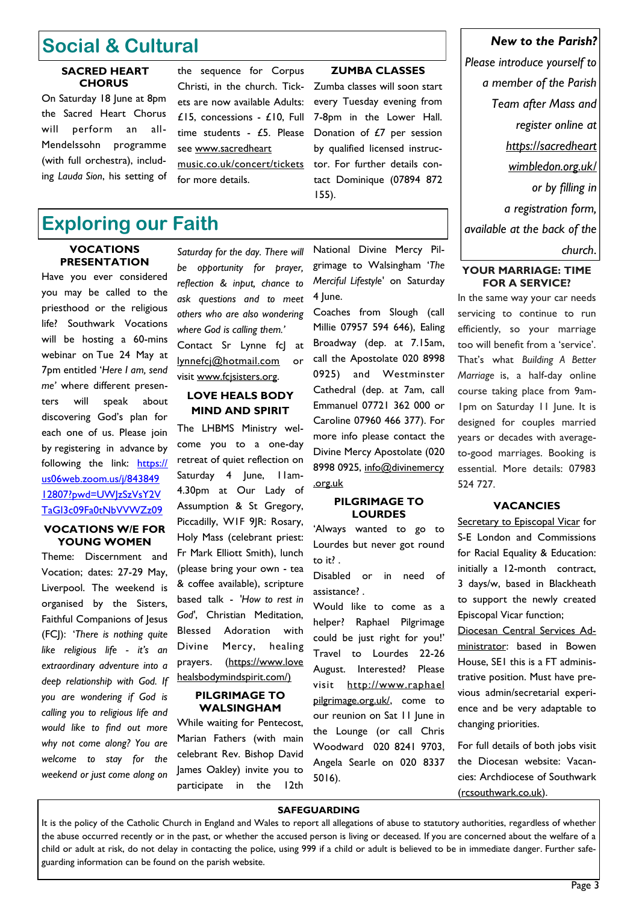# **Social & Cultural**

#### **SACRED HEART CHORUS**

On Saturday 18 June at 8pm the Sacred Heart Chorus will perform an all-Mendelssohn programme (with full orchestra), including *Lauda Sion*, his setting of

# **Exploring our Faith**

# **PRESENTATION**

Have you ever considered you may be called to the priesthood or the religious life? Southwark Vocations will be hosting a 60-mins webinar on Tue 24 May at 7pm entitled '*Here I am, send me'* where different presenters will speak about discovering God's plan for each one of us. Please join by registering in advance by following the link: [https://](https://us06web.zoom.us/j/84384912807?pwd=UWJzSzVsY2VTaGI3c09Fa0tNbVVWZz09) [us06web.zoom.us/j/843849](https://us06web.zoom.us/j/84384912807?pwd=UWJzSzVsY2VTaGI3c09Fa0tNbVVWZz09)  [12807?pwd=UWJzSzVsY2V](https://us06web.zoom.us/j/84384912807?pwd=UWJzSzVsY2VTaGI3c09Fa0tNbVVWZz09)  [TaGI3c09Fa0tNbVVWZz09](https://us06web.zoom.us/j/84384912807?pwd=UWJzSzVsY2VTaGI3c09Fa0tNbVVWZz09)

#### **VOCATIONS W/E FOR YOUNG WOMEN**

Theme: Discernment and Vocation; dates: 27-29 May, Liverpool. The weekend is organised by the Sisters, Faithful Companions of Jesus (FCJ): '*There is nothing quite like religious life - it's an extraordinary adventure into a deep relationship with God. If you are wondering if God is calling you to religious life and would like to find out more why not come along? You are welcome to stay for the weekend or just come along on* 

*be opportunity for prayer, reflection & input, chance to ask questions and to meet others who are also wondering where God is calling them.'* Contact Sr Lynne fcJ at [lynnefcj@hotmail.com](mailto:lynnefcj@hotmail.com) or

the sequence for Corpus Christi, in the church. Tickets are now available Adults: £15, concessions - £10, Full time students - £5. Please

[music.co.uk/concert/tickets](http://www.sacredheartmusic.co.uk/concert/tickets)

see www.sacredheart

for more details.

#### **LOVE HEALS BODY MIND AND SPIRIT**

visit www.fcjsisters.org.

The LHBMS Ministry welcome you to a one-day retreat of quiet reflection on Saturday 4 June, Ilam-4.30pm at Our Lady of Assumption & St Gregory, Piccadilly, W1F 9JR: Rosary, Holy Mass (celebrant priest: Fr Mark Elliott Smith), lunch (please bring your own - tea & coffee available), scripture based talk - *'How to rest in God'*, Christian Meditation, Blessed Adoration with Divine Mercy, healing prayers. (https://www.love healsbodymindspirit.com/)

#### **PILGRIMAGE TO WALSINGHAM**

While waiting for Pentecost, Marian Fathers (with main celebrant Rev. Bishop David James Oakley) invite you to participate in the 12th

National Divine Mercy Pilgrimage to Walsingham '*The Merciful Lifestyle'* on Saturday 4 June.

155).

**ZUMBA CLASSES** Zumba classes will soon start every Tuesday evening from 7-8pm in the Lower Hall. Donation of £7 per session by qualified licensed instructor. For further details contact Dominique (07894 872

Coaches from Slough (call Millie 07957 594 646), Ealing Broadway (dep. at 7.15am, call the Apostolate 020 8998 0925) and Westminster Cathedral (dep. at 7am, call Emmanuel 07721 362 000 or Caroline 07960 466 377). For more info please contact the Divine Mercy Apostolate (020 8998 0925, info@divinemercy .org.uk

#### **PILGRIMAGE TO LOURDES**

'Always wanted to go to Lourdes but never got round to it? .

Disabled or in need of assistance? .

Would like to come as a helper? Raphael Pilgrimage could be just right for you!' Travel to Lourdes 22-26 August. Interested? Please visit [http://www.raphael](http://www.raphaelpilgrimage.org.uk/)  [pilgrimage.org.uk/,](http://www.raphaelpilgrimage.org.uk/) come to our reunion on Sat 11 June in the Lounge (or call Chris Woodward 020 8241 9703, Angela Searle on 020 8337 5016).

#### *New to the Parish?*

*Please introduce yourself to a member of the Parish Team after Mass and register online at https://sacredheart wimbledon.org.uk/ or by filling in a registration form, available at the back of the*  **VOCATIONS** Saturday for the day. There will National Divine Mercy Pil- | church.

#### **YOUR MARRIAGE: TIME FOR A SERVICE?**

In the same way your car needs servicing to continue to run efficiently, so your marriage too will benefit from a 'service'. That's what *Building A Better Marriage* is, a half-day online course taking place from 9am-1pm on Saturday 11 June. It is designed for couples married years or decades with averageto-good marriages. Booking is essential. More details: 07983 524 727.

#### **VACANCIES**

Secretary to Episcopal Vicar for S-E London and Commissions for Racial Equality & Education: initially a 12-month contract, 3 days/w, based in Blackheath to support the newly created Episcopal Vicar function;

Diocesan Central Services Administrator: based in Bowen House, SE1 this is a FT administrative position. Must have previous admin/secretarial experience and be very adaptable to changing priorities.

For full details of both jobs visit the Diocesan website: [Vacan](https://www.rcsouthwark.co.uk/get-involved/vacancies/)[cies: Archdiocese of Southwark](https://www.rcsouthwark.co.uk/get-involved/vacancies/)  [\(rcsouthwark.co.uk\).](https://www.rcsouthwark.co.uk/get-involved/vacancies/)

#### **SAFEGUARDING**

It is the policy of the Catholic Church in England and Wales to report all allegations of abuse to statutory authorities, regardless of whether the abuse occurred recently or in the past, or whether the accused person is living or deceased. If you are concerned about the welfare of a child or adult at risk, do not delay in contacting the police, using 999 if a child or adult is believed to be in immediate danger. Further safeguarding information can be found on the parish website.